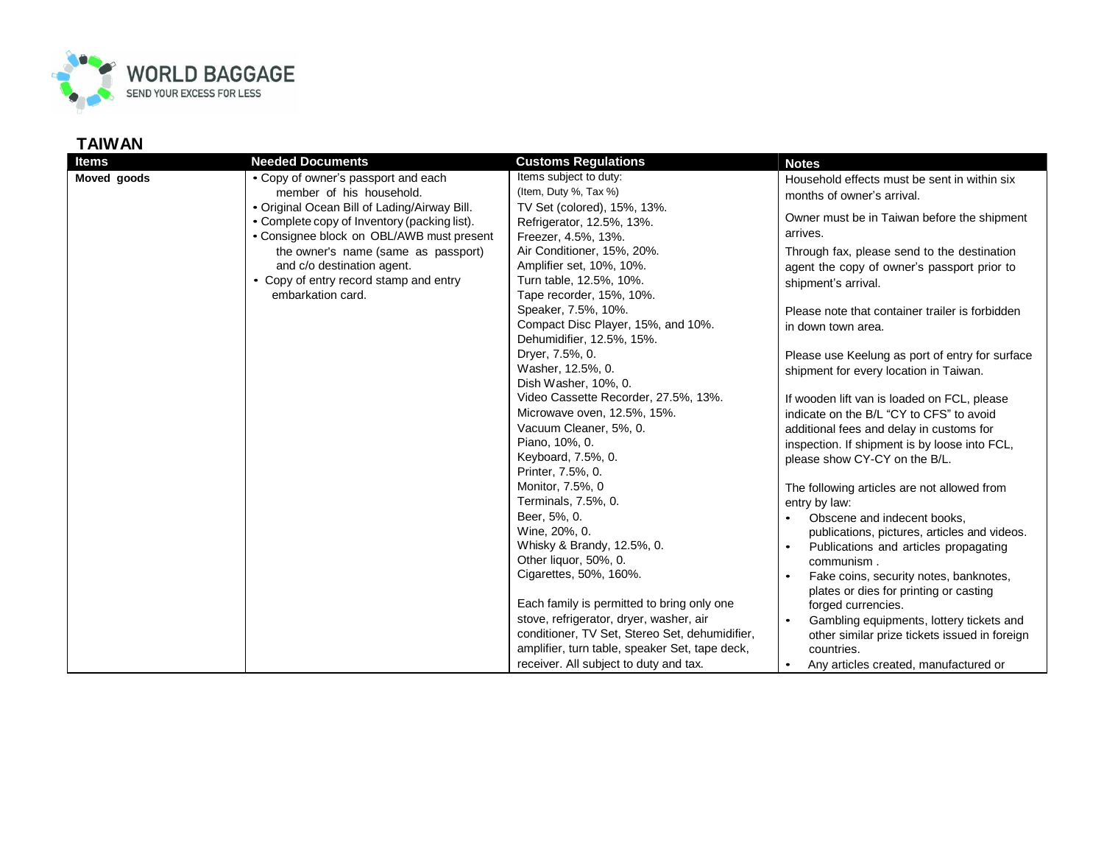

## **TAIWAN**

| <b>Items</b> | <b>Needed Documents</b>                                                  | <b>Customs Regulations</b>                     | <b>Notes</b>                                    |
|--------------|--------------------------------------------------------------------------|------------------------------------------------|-------------------------------------------------|
| Moved goods  | • Copy of owner's passport and each                                      | Items subject to duty:                         | Household effects must be sent in within six    |
|              | member of his household.<br>• Original Ocean Bill of Lading/Airway Bill. | (Item, Duty %, Tax %)                          | months of owner's arrival.                      |
|              |                                                                          | TV Set (colored), 15%, 13%.                    |                                                 |
|              | • Complete copy of Inventory (packing list).                             | Refrigerator, 12.5%, 13%.                      | Owner must be in Taiwan before the shipment     |
|              | • Consignee block on OBL/AWB must present                                | Freezer, 4.5%, 13%.                            | arrives.                                        |
|              | the owner's name (same as passport)                                      | Air Conditioner, 15%, 20%.                     | Through fax, please send to the destination     |
|              | and c/o destination agent.                                               | Amplifier set, 10%, 10%.                       | agent the copy of owner's passport prior to     |
|              | • Copy of entry record stamp and entry<br>embarkation card.              | Turn table, 12.5%, 10%.                        | shipment's arrival.                             |
|              |                                                                          | Tape recorder, 15%, 10%.                       |                                                 |
|              |                                                                          | Speaker, 7.5%, 10%.                            | Please note that container trailer is forbidden |
|              |                                                                          | Compact Disc Player, 15%, and 10%.             | in down town area.                              |
|              |                                                                          | Dehumidifier, 12.5%, 15%.                      |                                                 |
|              |                                                                          | Dryer, 7.5%, 0.                                | Please use Keelung as port of entry for surface |
|              |                                                                          | Washer, 12.5%, 0.                              | shipment for every location in Taiwan.          |
|              |                                                                          | Dish Washer, 10%, 0.                           |                                                 |
|              |                                                                          | Video Cassette Recorder, 27.5%, 13%.           | If wooden lift van is loaded on FCL, please     |
|              |                                                                          | Microwave oven, 12.5%, 15%.                    | indicate on the B/L "CY to CFS" to avoid        |
|              |                                                                          | Vacuum Cleaner, 5%, 0.                         | additional fees and delay in customs for        |
|              |                                                                          | Piano, 10%, 0.                                 | inspection. If shipment is by loose into FCL,   |
|              |                                                                          | Keyboard, 7.5%, 0.                             | please show CY-CY on the B/L.                   |
|              |                                                                          | Printer, 7.5%, 0.                              |                                                 |
|              |                                                                          | Monitor, 7.5%, 0                               | The following articles are not allowed from     |
|              |                                                                          | Terminals, 7.5%, 0.                            | entry by law:                                   |
|              |                                                                          | Beer, 5%, 0.                                   | Obscene and indecent books,                     |
|              |                                                                          | Wine, 20%, 0.                                  | publications, pictures, articles and videos.    |
|              |                                                                          | Whisky & Brandy, 12.5%, 0.                     | Publications and articles propagating           |
|              |                                                                          | Other liquor, 50%, 0.                          | communism.                                      |
|              |                                                                          | Cigarettes, 50%, 160%.                         | Fake coins, security notes, banknotes,          |
|              |                                                                          |                                                | plates or dies for printing or casting          |
|              |                                                                          | Each family is permitted to bring only one     | forged currencies.                              |
|              |                                                                          | stove, refrigerator, dryer, washer, air        | Gambling equipments, lottery tickets and        |
|              |                                                                          | conditioner, TV Set, Stereo Set, dehumidifier, | other similar prize tickets issued in foreign   |
|              |                                                                          | amplifier, turn table, speaker Set, tape deck, | countries.                                      |
|              |                                                                          | receiver. All subject to duty and tax.         | Any articles created, manufactured or           |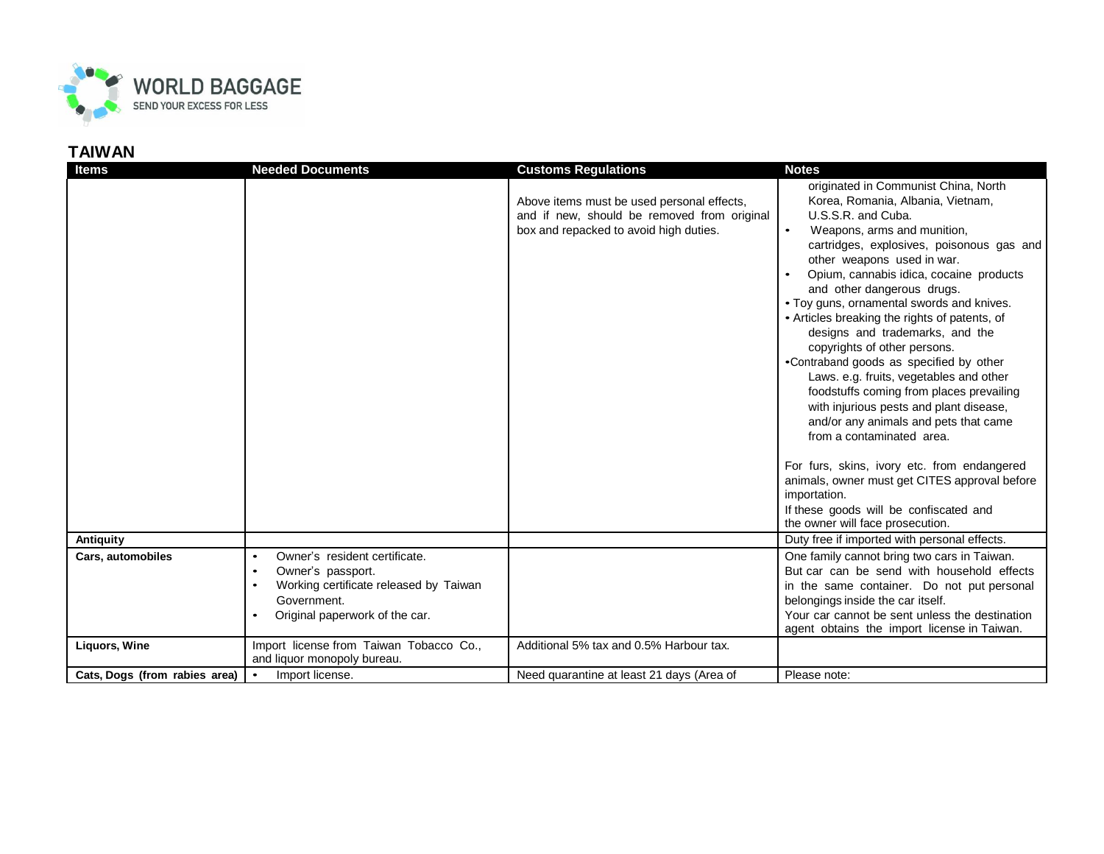

## **TAIWAN**

| <b>Items</b>                  | <b>Needed Documents</b>                                            | <b>Customs Regulations</b>                  | <b>Notes</b>                                                                    |
|-------------------------------|--------------------------------------------------------------------|---------------------------------------------|---------------------------------------------------------------------------------|
|                               |                                                                    |                                             | originated in Communist China, North                                            |
|                               |                                                                    | Above items must be used personal effects,  | Korea, Romania, Albania, Vietnam,                                               |
|                               |                                                                    | and if new, should be removed from original | U.S.S.R. and Cuba.                                                              |
|                               |                                                                    | box and repacked to avoid high duties.      | $\bullet$<br>Weapons, arms and munition,                                        |
|                               |                                                                    |                                             | cartridges, explosives, poisonous gas and                                       |
|                               |                                                                    |                                             | other weapons used in war.                                                      |
|                               |                                                                    |                                             | Opium, cannabis idica, cocaine products<br>and other dangerous drugs.           |
|                               |                                                                    |                                             | • Toy guns, ornamental swords and knives.                                       |
|                               |                                                                    |                                             | • Articles breaking the rights of patents, of                                   |
|                               |                                                                    |                                             | designs and trademarks, and the                                                 |
|                               |                                                                    |                                             | copyrights of other persons.                                                    |
|                               |                                                                    |                                             | •Contraband goods as specified by other                                         |
|                               |                                                                    |                                             | Laws. e.g. fruits, vegetables and other                                         |
|                               |                                                                    |                                             | foodstuffs coming from places prevailing                                        |
|                               |                                                                    |                                             | with injurious pests and plant disease,                                         |
|                               |                                                                    |                                             | and/or any animals and pets that came<br>from a contaminated area.              |
|                               |                                                                    |                                             |                                                                                 |
|                               |                                                                    |                                             | For furs, skins, ivory etc. from endangered                                     |
|                               |                                                                    |                                             | animals, owner must get CITES approval before                                   |
|                               |                                                                    |                                             | importation.                                                                    |
|                               |                                                                    |                                             | If these goods will be confiscated and                                          |
|                               |                                                                    |                                             | the owner will face prosecution.                                                |
| Antiquity                     |                                                                    |                                             | Duty free if imported with personal effects.                                    |
| Cars, automobiles             | Owner's resident certificate.<br>$\bullet$                         |                                             | One family cannot bring two cars in Taiwan.                                     |
|                               | Owner's passport.<br>$\bullet$                                     |                                             | But car can be send with household effects                                      |
|                               | Working certificate released by Taiwan<br>$\bullet$<br>Government. |                                             | in the same container. Do not put personal<br>belongings inside the car itself. |
|                               | Original paperwork of the car.                                     |                                             | Your car cannot be sent unless the destination                                  |
|                               |                                                                    |                                             | agent obtains the import license in Taiwan.                                     |
| <b>Liquors, Wine</b>          | Import license from Taiwan Tobacco Co.,                            | Additional 5% tax and 0.5% Harbour tax.     |                                                                                 |
|                               | and liquor monopoly bureau.                                        |                                             |                                                                                 |
| Cats, Dogs (from rabies area) | Import license.                                                    | Need quarantine at least 21 days (Area of   | Please note:                                                                    |